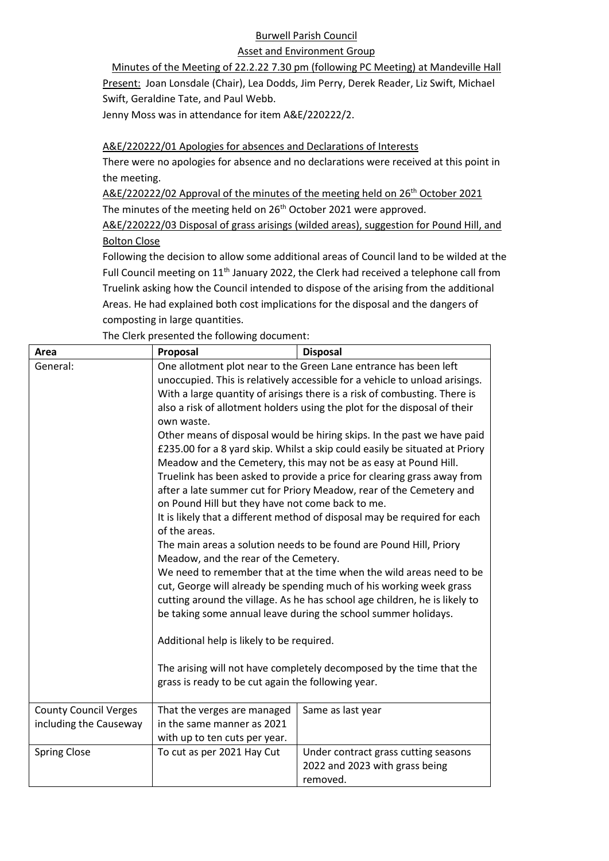## Burwell Parish Council

## Asset and Environment Group

Minutes of the Meeting of 22.2.22 7.30 pm (following PC Meeting) at Mandeville Hall Present: Joan Lonsdale (Chair), Lea Dodds, Jim Perry, Derek Reader, Liz Swift, Michael Swift, Geraldine Tate, and Paul Webb.

Jenny Moss was in attendance for item A&E/220222/2.

## A&E/220222/01 Apologies for absences and Declarations of Interests

There were no apologies for absence and no declarations were received at this point in the meeting.

A&E/220222/02 Approval of the minutes of the meeting held on 26<sup>th</sup> October 2021 The minutes of the meeting held on 26<sup>th</sup> October 2021 were approved.

A&E/220222/03 Disposal of grass arisings (wilded areas), suggestion for Pound Hill, and Bolton Close

Following the decision to allow some additional areas of Council land to be wilded at the Full Council meeting on  $11<sup>th</sup>$  January 2022, the Clerk had received a telephone call from Truelink asking how the Council intended to dispose of the arising from the additional Areas. He had explained both cost implications for the disposal and the dangers of composting in large quantities.

The Clerk presented the following document:

| Area                                                   | Proposal                                                                                                                                                                                                                                                                                                                                                                                                                                                                                                                                                                                                                                                                                                                                                                                                                                                                                                                                                                                                                                                                                                                                                                                                                                                                                                                                                                                                                                                                                                                           | <b>Disposal</b>                                                                    |
|--------------------------------------------------------|------------------------------------------------------------------------------------------------------------------------------------------------------------------------------------------------------------------------------------------------------------------------------------------------------------------------------------------------------------------------------------------------------------------------------------------------------------------------------------------------------------------------------------------------------------------------------------------------------------------------------------------------------------------------------------------------------------------------------------------------------------------------------------------------------------------------------------------------------------------------------------------------------------------------------------------------------------------------------------------------------------------------------------------------------------------------------------------------------------------------------------------------------------------------------------------------------------------------------------------------------------------------------------------------------------------------------------------------------------------------------------------------------------------------------------------------------------------------------------------------------------------------------------|------------------------------------------------------------------------------------|
| General:                                               | One allotment plot near to the Green Lane entrance has been left<br>unoccupied. This is relatively accessible for a vehicle to unload arisings.<br>With a large quantity of arisings there is a risk of combusting. There is<br>also a risk of allotment holders using the plot for the disposal of their<br>own waste.<br>Other means of disposal would be hiring skips. In the past we have paid<br>£235.00 for a 8 yard skip. Whilst a skip could easily be situated at Priory<br>Meadow and the Cemetery, this may not be as easy at Pound Hill.<br>Truelink has been asked to provide a price for clearing grass away from<br>after a late summer cut for Priory Meadow, rear of the Cemetery and<br>on Pound Hill but they have not come back to me.<br>It is likely that a different method of disposal may be required for each<br>of the areas.<br>The main areas a solution needs to be found are Pound Hill, Priory<br>Meadow, and the rear of the Cemetery.<br>We need to remember that at the time when the wild areas need to be<br>cut, George will already be spending much of his working week grass<br>cutting around the village. As he has school age children, he is likely to<br>be taking some annual leave during the school summer holidays.<br>Additional help is likely to be required.<br>The arising will not have completely decomposed by the time that the<br>grass is ready to be cut again the following year.<br>That the verges are managed<br>Same as last year<br>in the same manner as 2021 |                                                                                    |
| <b>County Council Verges</b><br>including the Causeway | with up to ten cuts per year.                                                                                                                                                                                                                                                                                                                                                                                                                                                                                                                                                                                                                                                                                                                                                                                                                                                                                                                                                                                                                                                                                                                                                                                                                                                                                                                                                                                                                                                                                                      |                                                                                    |
| <b>Spring Close</b>                                    | To cut as per 2021 Hay Cut                                                                                                                                                                                                                                                                                                                                                                                                                                                                                                                                                                                                                                                                                                                                                                                                                                                                                                                                                                                                                                                                                                                                                                                                                                                                                                                                                                                                                                                                                                         | Under contract grass cutting seasons<br>2022 and 2023 with grass being<br>removed. |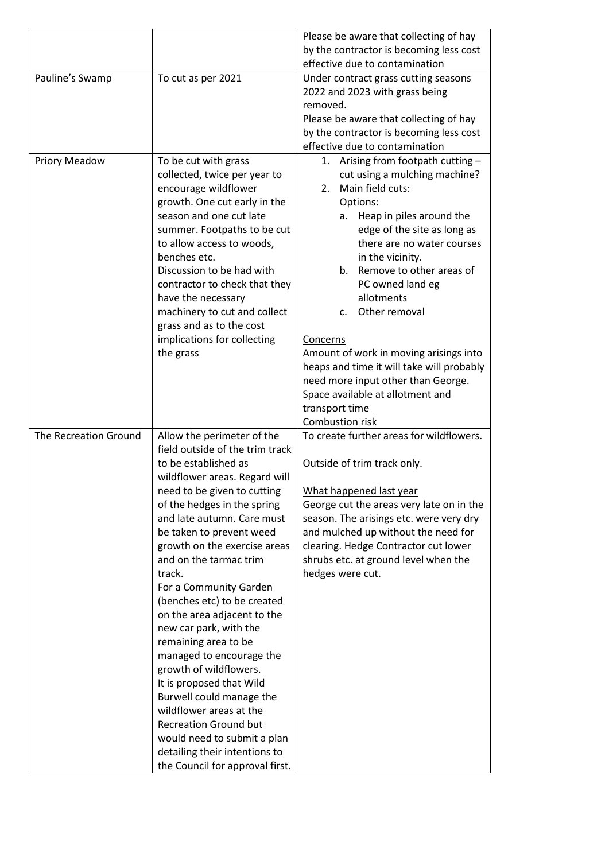|                       |                                 | Please be aware that collecting of hay       |
|-----------------------|---------------------------------|----------------------------------------------|
|                       |                                 | by the contractor is becoming less cost      |
|                       |                                 | effective due to contamination               |
| Pauline's Swamp       | To cut as per 2021              | Under contract grass cutting seasons         |
|                       |                                 | 2022 and 2023 with grass being               |
|                       |                                 | removed.                                     |
|                       |                                 | Please be aware that collecting of hay       |
|                       |                                 | by the contractor is becoming less cost      |
|                       |                                 | effective due to contamination               |
| <b>Priory Meadow</b>  | To be cut with grass            | Arising from footpath cutting -<br>1.        |
|                       | collected, twice per year to    | cut using a mulching machine?                |
|                       | encourage wildflower            | Main field cuts:<br>2.                       |
|                       | growth. One cut early in the    | Options:                                     |
|                       | season and one cut late         | Heap in piles around the<br>а. -             |
|                       | summer. Footpaths to be cut     | edge of the site as long as                  |
|                       | to allow access to woods,       | there are no water courses                   |
|                       | benches etc.                    |                                              |
|                       | Discussion to be had with       | in the vicinity.<br>Remove to other areas of |
|                       |                                 | b.                                           |
|                       | contractor to check that they   | PC owned land eg                             |
|                       | have the necessary              | allotments                                   |
|                       | machinery to cut and collect    | Other removal<br>c.                          |
|                       | grass and as to the cost        |                                              |
|                       | implications for collecting     | Concerns                                     |
|                       | the grass                       | Amount of work in moving arisings into       |
|                       |                                 | heaps and time it will take will probably    |
|                       |                                 | need more input other than George.           |
|                       |                                 | Space available at allotment and             |
|                       |                                 | transport time                               |
|                       |                                 | Combustion risk                              |
| The Recreation Ground | Allow the perimeter of the      | To create further areas for wildflowers.     |
|                       | field outside of the trim track |                                              |
|                       | to be established as            | Outside of trim track only.                  |
|                       | wildflower areas. Regard will   |                                              |
|                       | need to be given to cutting     | What happened last year                      |
|                       | of the hedges in the spring     | George cut the areas very late on in the     |
|                       | and late autumn. Care must      | season. The arisings etc. were very dry      |
|                       | be taken to prevent weed        | and mulched up without the need for          |
|                       | growth on the exercise areas    | clearing. Hedge Contractor cut lower         |
|                       | and on the tarmac trim          | shrubs etc. at ground level when the         |
|                       | track.                          | hedges were cut.                             |
|                       | For a Community Garden          |                                              |
|                       | (benches etc) to be created     |                                              |
|                       | on the area adjacent to the     |                                              |
|                       | new car park, with the          |                                              |
|                       | remaining area to be            |                                              |
|                       | managed to encourage the        |                                              |
|                       | growth of wildflowers.          |                                              |
|                       | It is proposed that Wild        |                                              |
|                       | Burwell could manage the        |                                              |
|                       | wildflower areas at the         |                                              |
|                       | <b>Recreation Ground but</b>    |                                              |
|                       |                                 |                                              |
|                       | would need to submit a plan     |                                              |
|                       | detailing their intentions to   |                                              |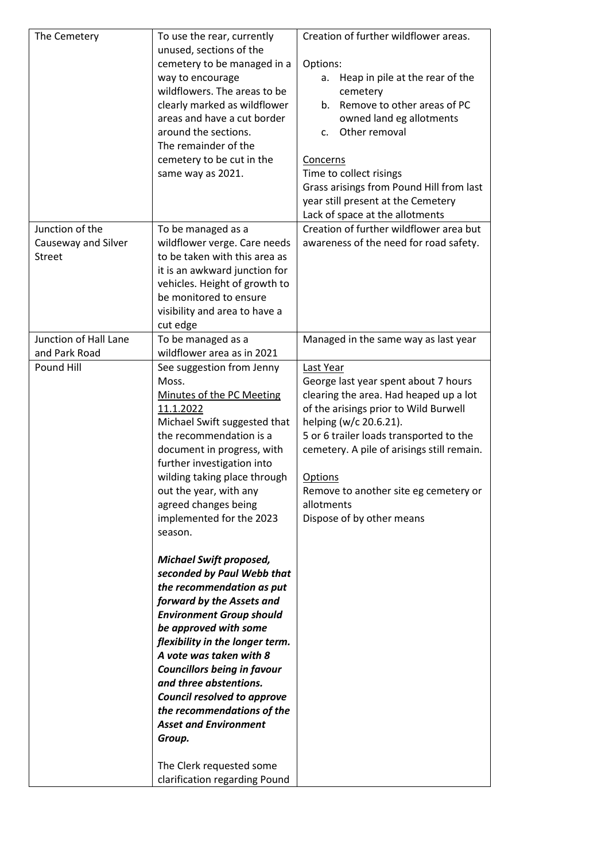| The Cemetery                                            | To use the rear, currently<br>unused, sections of the<br>cemetery to be managed in a<br>way to encourage<br>wildflowers. The areas to be<br>clearly marked as wildflower<br>areas and have a cut border<br>around the sections.<br>The remainder of the<br>cemetery to be cut in the<br>same way as 2021.                                                                                                                                                                                                                                                                                                                                                                                                     | Creation of further wildflower areas.<br>Options:<br>Heap in pile at the rear of the<br>a.<br>cemetery<br>Remove to other areas of PC<br>b.<br>owned land eg allotments<br>Other removal<br>c.<br>Concerns<br>Time to collect risings<br>Grass arisings from Pound Hill from last<br>year still present at the Cemetery<br>Lack of space at the allotments |
|---------------------------------------------------------|---------------------------------------------------------------------------------------------------------------------------------------------------------------------------------------------------------------------------------------------------------------------------------------------------------------------------------------------------------------------------------------------------------------------------------------------------------------------------------------------------------------------------------------------------------------------------------------------------------------------------------------------------------------------------------------------------------------|------------------------------------------------------------------------------------------------------------------------------------------------------------------------------------------------------------------------------------------------------------------------------------------------------------------------------------------------------------|
| Junction of the<br>Causeway and Silver<br><b>Street</b> | To be managed as a<br>wildflower verge. Care needs<br>to be taken with this area as<br>it is an awkward junction for<br>vehicles. Height of growth to<br>be monitored to ensure<br>visibility and area to have a<br>cut edge                                                                                                                                                                                                                                                                                                                                                                                                                                                                                  | Creation of further wildflower area but<br>awareness of the need for road safety.                                                                                                                                                                                                                                                                          |
| Junction of Hall Lane<br>and Park Road                  | To be managed as a<br>wildflower area as in 2021                                                                                                                                                                                                                                                                                                                                                                                                                                                                                                                                                                                                                                                              | Managed in the same way as last year                                                                                                                                                                                                                                                                                                                       |
| Pound Hill                                              | See suggestion from Jenny<br>Moss.<br>Minutes of the PC Meeting<br>11.1.2022<br>Michael Swift suggested that<br>the recommendation is a<br>document in progress, with<br>further investigation into<br>wilding taking place through<br>out the year, with any<br>agreed changes being<br>implemented for the 2023<br>season.<br><b>Michael Swift proposed,</b><br>seconded by Paul Webb that<br>the recommendation as put<br>forward by the Assets and<br><b>Environment Group should</b><br>be approved with some<br>flexibility in the longer term.<br>A vote was taken with 8<br><b>Councillors being in favour</b><br>and three abstentions.<br>Council resolved to approve<br>the recommendations of the | Last Year<br>George last year spent about 7 hours<br>clearing the area. Had heaped up a lot<br>of the arisings prior to Wild Burwell<br>helping (w/c 20.6.21).<br>5 or 6 trailer loads transported to the<br>cemetery. A pile of arisings still remain.<br>Options<br>Remove to another site eg cemetery or<br>allotments<br>Dispose of by other means     |
|                                                         | Group.<br>The Clerk requested some<br>clarification regarding Pound                                                                                                                                                                                                                                                                                                                                                                                                                                                                                                                                                                                                                                           |                                                                                                                                                                                                                                                                                                                                                            |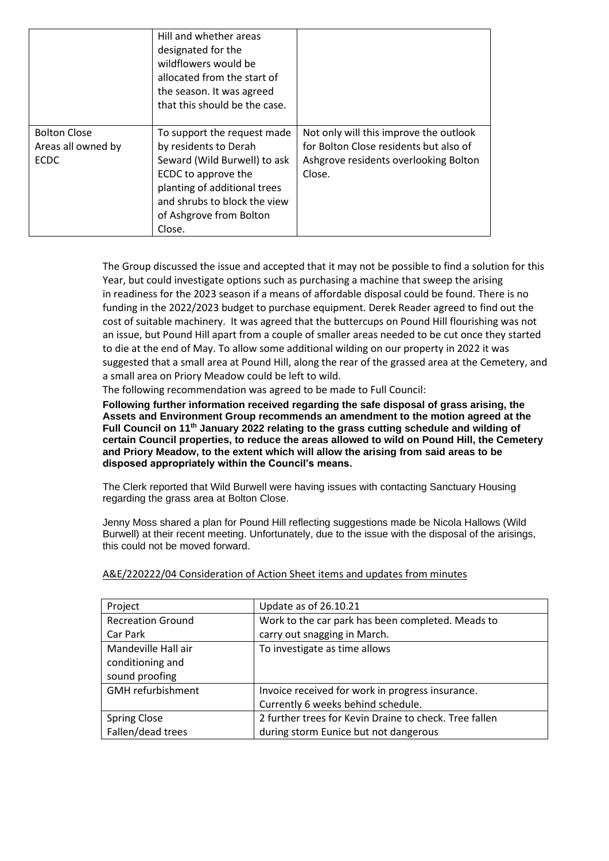|                                                          | Hill and whether areas<br>designated for the<br>wildflowers would be<br>allocated from the start of<br>the season. It was agreed<br>that this should be the case.                                                |                                                                                                                                     |
|----------------------------------------------------------|------------------------------------------------------------------------------------------------------------------------------------------------------------------------------------------------------------------|-------------------------------------------------------------------------------------------------------------------------------------|
| <b>Bolton Close</b><br>Areas all owned by<br><b>ECDC</b> | To support the request made<br>by residents to Derah<br>Seward (Wild Burwell) to ask<br>ECDC to approve the<br>planting of additional trees<br>and shrubs to block the view<br>of Ashgrove from Bolton<br>Close. | Not only will this improve the outlook<br>for Bolton Close residents but also of<br>Ashgrove residents overlooking Bolton<br>Close. |

The Group discussed the issue and accepted that it may not be possible to find a solution for this Year, but could investigate options such as purchasing a machine that sweep the arising in readiness for the 2023 season if a means of affordable disposal could be found. There is no funding in the 2022/2023 budget to purchase equipment. Derek Reader agreed to find out the cost of suitable machinery. It was agreed that the buttercups on Pound Hill flourishing was not an issue, but Pound Hill apart from a couple of smaller areas needed to be cut once they started to die at the end of May. To allow some additional wilding on our property in 2022 it was suggested that a small area at Pound Hill, along the rear of the grassed area at the Cemetery, and a small area on Priory Meadow could be left to wild.

The following recommendation was agreed to be made to Full Council:

**Following further information received regarding the safe disposal of grass arising, the Assets and Environment Group recommends an amendment to the motion agreed at the Full Council on 11th January 2022 relating to the grass cutting schedule and wilding of certain Council properties, to reduce the areas allowed to wild on Pound Hill, the Cemetery and Priory Meadow, to the extent which will allow the arising from said areas to be disposed appropriately within the Council's means.**

The Clerk reported that Wild Burwell were having issues with contacting Sanctuary Housing regarding the grass area at Bolton Close.

Jenny Moss shared a plan for Pound Hill reflecting suggestions made be Nicola Hallows (Wild Burwell) at their recent meeting. Unfortunately, due to the issue with the disposal of the arisings, this could not be moved forward.

| Project                  | Update as of 26.10.21                                  |
|--------------------------|--------------------------------------------------------|
| <b>Recreation Ground</b> | Work to the car park has been completed. Meads to      |
| Car Park                 | carry out snagging in March.                           |
| Mandeville Hall air      | To investigate as time allows                          |
| conditioning and         |                                                        |
| sound proofing           |                                                        |
| <b>GMH</b> refurbishment | Invoice received for work in progress insurance.       |
|                          | Currently 6 weeks behind schedule.                     |
| <b>Spring Close</b>      | 2 further trees for Kevin Draine to check. Tree fallen |
| Fallen/dead trees        | during storm Eunice but not dangerous                  |

A&E/220222/04 Consideration of Action Sheet items and updates from minutes